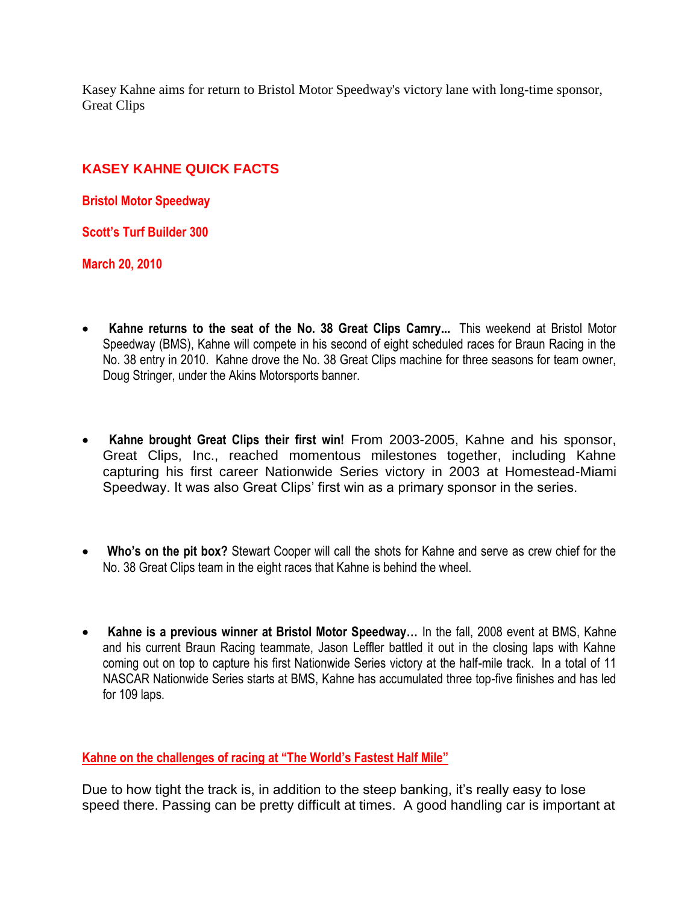Kasey Kahne aims for return to Bristol Motor Speedway's victory lane with long-time sponsor, Great Clips

## **KASEY KAHNE QUICK FACTS**

**Bristol Motor Speedway**

**Scott's Turf Builder 300**

**March 20, 2010**

- **Kahne returns to the seat of the No. 38 Great Clips Camry...** This weekend at Bristol Motor Speedway (BMS), Kahne will compete in his second of eight scheduled races for Braun Racing in the No. 38 entry in 2010. Kahne drove the No. 38 Great Clips machine for three seasons for team owner, Doug Stringer, under the Akins Motorsports banner.
- **Kahne brought Great Clips their first win!** From 2003-2005, Kahne and his sponsor, Great Clips, Inc., reached momentous milestones together, including Kahne capturing his first career Nationwide Series victory in 2003 at Homestead-Miami Speedway. It was also Great Clips' first win as a primary sponsor in the series.
- **Who's on the pit box?** Stewart Cooper will call the shots for Kahne and serve as crew chief for the No. 38 Great Clips team in the eight races that Kahne is behind the wheel.
- **Kahne is a previous winner at Bristol Motor Speedway…** In the fall, 2008 event at BMS, Kahne and his current Braun Racing teammate, Jason Leffler battled it out in the closing laps with Kahne coming out on top to capture his first Nationwide Series victory at the half-mile track. In a total of 11 NASCAR Nationwide Series starts at BMS, Kahne has accumulated three top-five finishes and has led for 109 laps.

## **Kahne on the challenges of racing at "The World's Fastest Half Mile"**

Due to how tight the track is, in addition to the steep banking, it's really easy to lose speed there. Passing can be pretty difficult at times. A good handling car is important at